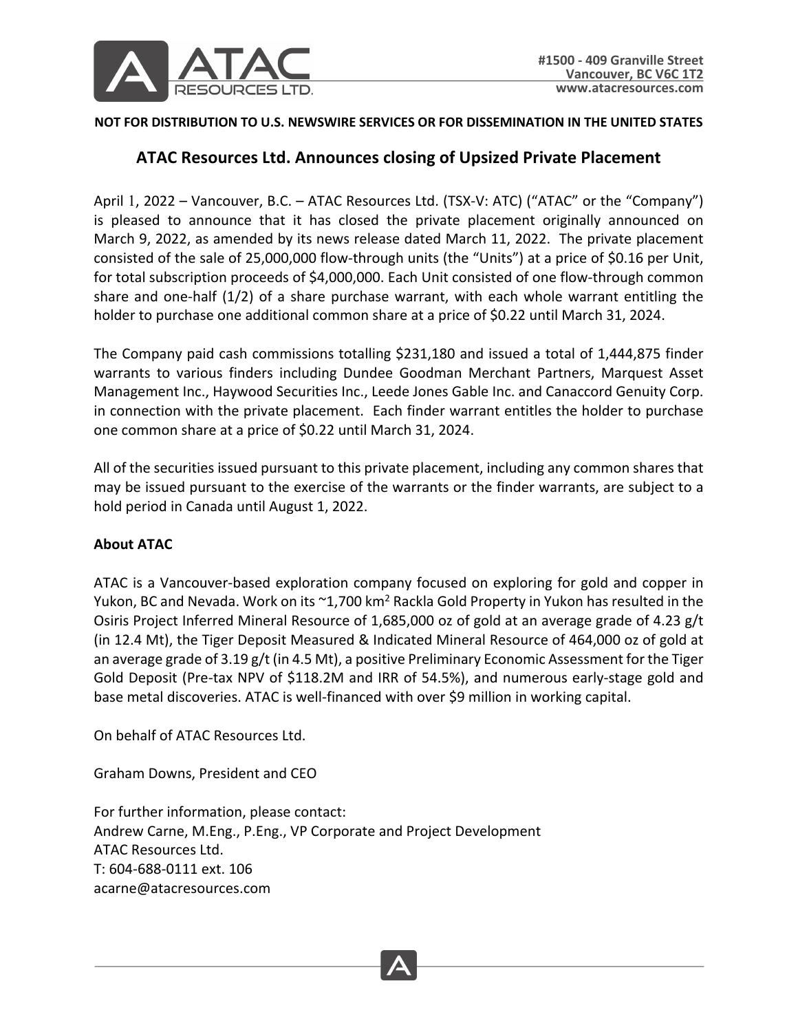

## **NOT FOR DISTRIBUTION TO U.S. NEWSWIRE SERVICES OR FOR DISSEMINATION IN THE UNITED STATES**

## **ATAC Resources Ltd. Announces closing of Upsized Private Placement**

April 1, 2022 – Vancouver, B.C. – ATAC Resources Ltd. (TSX-V: ATC) ("ATAC" or the "Company") is pleased to announce that it has closed the private placement originally announced on March 9, 2022, as amended by its news release dated March 11, 2022. The private placement consisted of the sale of 25,000,000 flow-through units (the "Units") at a price of \$0.16 per Unit, for total subscription proceeds of \$4,000,000. Each Unit consisted of one flow-through common share and one-half (1/2) of a share purchase warrant, with each whole warrant entitling the holder to purchase one additional common share at a price of \$0.22 until March 31, 2024.

The Company paid cash commissions totalling \$231,180 and issued a total of 1,444,875 finder warrants to various finders including Dundee Goodman Merchant Partners, Marquest Asset Management Inc., Haywood Securities Inc., Leede Jones Gable Inc. and Canaccord Genuity Corp. in connection with the private placement. Each finder warrant entitles the holder to purchase one common share at a price of \$0.22 until March 31, 2024.

All of the securities issued pursuant to this private placement, including any common shares that may be issued pursuant to the exercise of the warrants or the finder warrants, are subject to a hold period in Canada until August 1, 2022.

## **About ATAC**

ATAC is a Vancouver-based exploration company focused on exploring for gold and copper in Yukon, BC and Nevada. Work on its ~1,700 km<sup>2</sup> Rackla Gold Property in Yukon has resulted in the Osiris Project Inferred Mineral Resource of 1,685,000 oz of gold at an average grade of 4.23 g/t (in 12.4 Mt), the Tiger Deposit Measured & Indicated Mineral Resource of 464,000 oz of gold at an average grade of 3.19 g/t (in 4.5 Mt), a positive Preliminary Economic Assessment for the Tiger Gold Deposit (Pre-tax NPV of \$118.2M and IRR of 54.5%), and numerous early-stage gold and base metal discoveries. ATAC is well-financed with over \$9 million in working capital.

On behalf of ATAC Resources Ltd.

Graham Downs, President and CEO

For further information, please contact: Andrew Carne, M.Eng., P.Eng., VP Corporate and Project Development ATAC Resources Ltd. T: 604-688-0111 ext. 106 acarne@atacresources.com